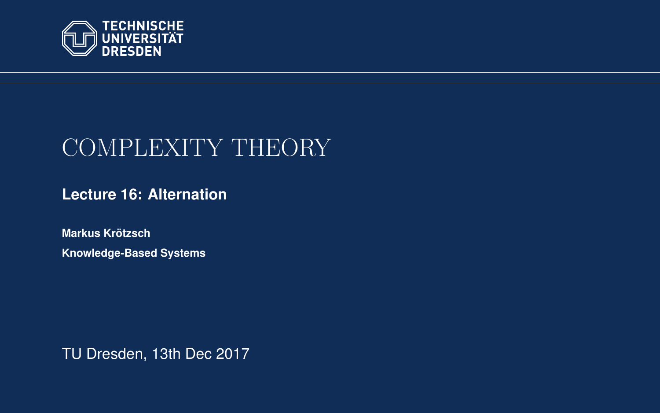<span id="page-0-0"></span>

# COMPLEXITY THEORY

**[Lecture 16: Alternation](https://iccl.inf.tu-dresden.de/web/Complexity_Theory_(WS2017/18))**

**[Markus Krotzsch](https://iccl.inf.tu-dresden.de/web/Markus_Kr%C3%B6tzsch/en) ¨ Knowledge-Based Systems**

TU Dresden, 13th Dec 2017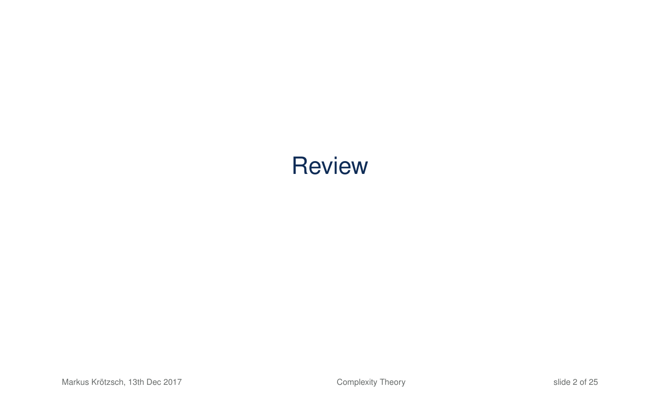# **Review**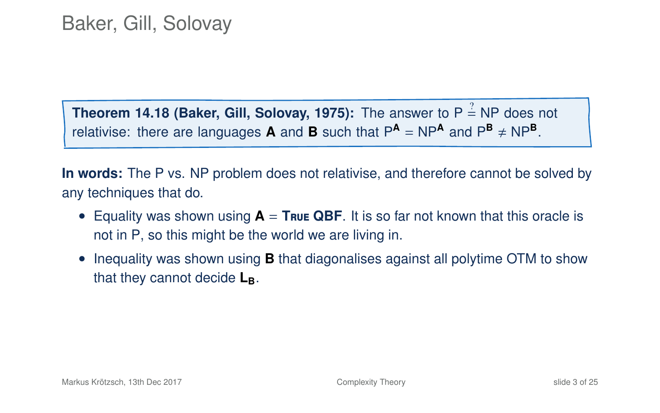**Theorem 14.18 (Baker, Gill, Solovay, 1975):** The answer to  $P \stackrel{?}{=} NP$  does not relativise: there are languages **A** and **B** such that  $P^{\text{A}} = NP^{\text{A}}$  and  $P^{\text{B}} \neq NP^{\text{B}}$ .

**In words:** The P vs. NP problem does not relativise, and therefore cannot be solved by any techniques that do.

- Equality was shown using **A** = **T**rue **QBF**. It is so far not known that this oracle is not in P, so this might be the world we are living in.
- Inequality was shown using **B** that diagonalises against all polytime OTM to show that they cannot decide **LB**.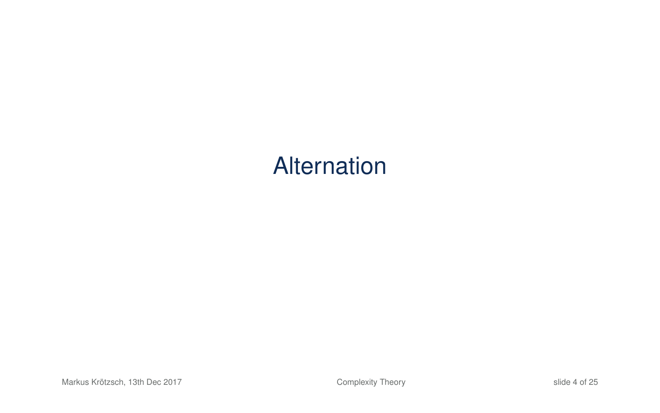# Alternation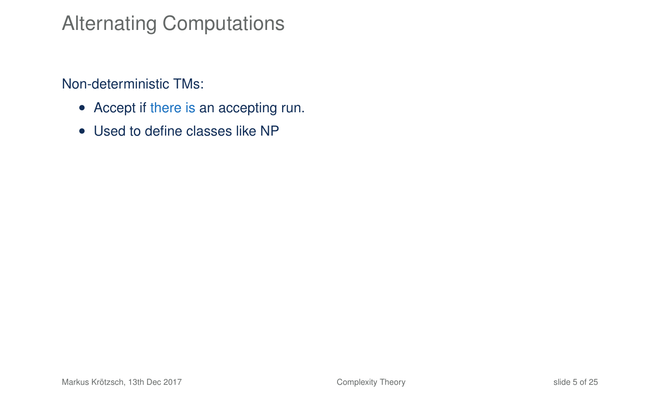## Alternating Computations

Non-deterministic TMs:

- Accept if there is an accepting run.
- Used to define classes like NP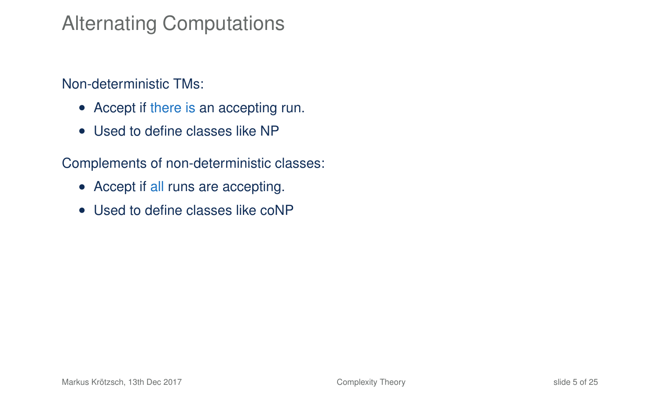## Alternating Computations

#### Non-deterministic TMs:

- Accept if there is an accepting run.
- Used to define classes like NP

Complements of non-deterministic classes:

- Accept if all runs are accepting.
- Used to define classes like coNP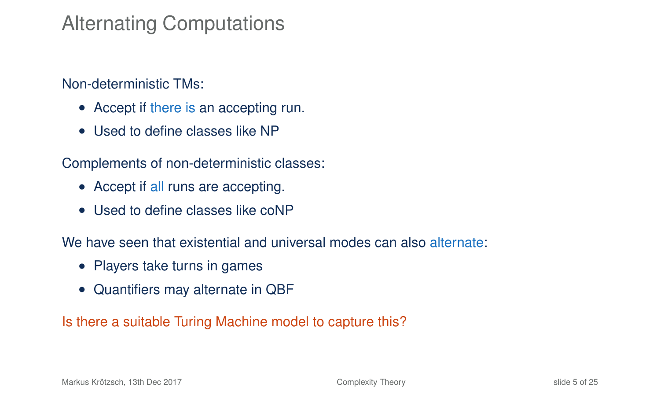## Alternating Computations

Non-deterministic TMs:

- Accept if there is an accepting run.
- Used to define classes like NP

Complements of non-deterministic classes:

- Accept if all runs are accepting.
- Used to define classes like coNP

We have seen that existential and universal modes can also alternate:

- Players take turns in games
- Quantifiers may alternate in QBF

Is there a suitable Turing Machine model to capture this?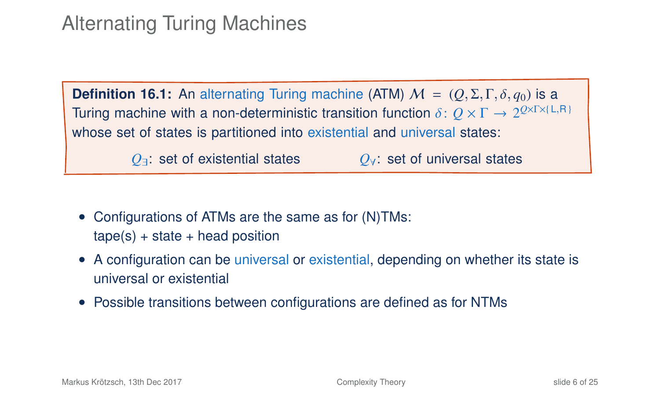## Alternating Turing Machines

**Definition 16.1:** An alternating Turing machine (ATM)  $M = (O, \Sigma, \Gamma, \delta, q_0)$  is a Turing machine with a non-deterministic transition function δ:  $Q \times Γ → 2^{Q \times Γ \times (L,R)}$ <br>whose set of states is partitioned into existential and universal states. whose set of states is partitioned into existential and universal states: *Q*∃: set of existential states *Q*∀: set of universal states

- Configurations of ATMs are the same as for (N)TMs:  $tape(s) + state + head position$
- A configuration can be universal or existential, depending on whether its state is universal or existential
- Possible transitions between configurations are defined as for NTMs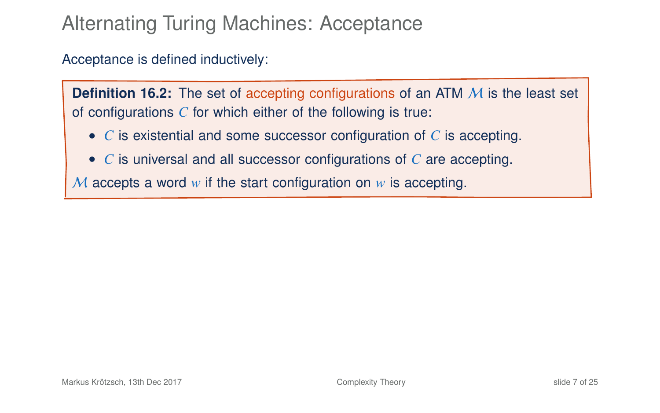## Alternating Turing Machines: Acceptance

#### Acceptance is defined inductively:

**Definition 16.2:** The set of accepting configurations of an ATM M is the least set of configurations *C* for which either of the following is true:

- *C* is existential and some successor configuration of *C* is accepting.
- *C* is universal and all successor configurations of *C* are accepting.

M accepts a word *w* if the start configuration on *w* is accepting.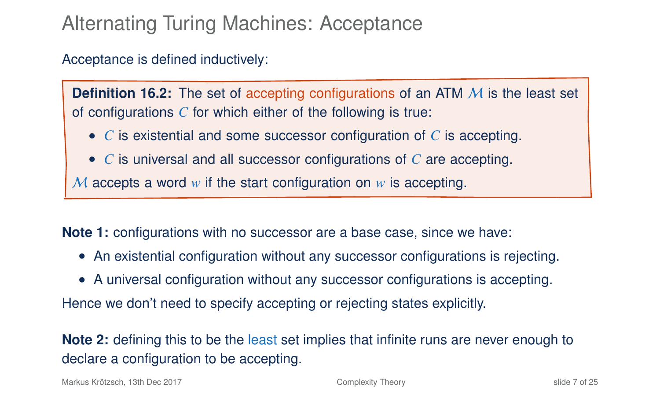## Alternating Turing Machines: Acceptance

#### Acceptance is defined inductively:

**Definition 16.2:** The set of accepting configurations of an ATM M is the least set of configurations *C* for which either of the following is true:

- *C* is existential and some successor configuration of *C* is accepting.
- *C* is universal and all successor configurations of *C* are accepting.

M accepts a word *w* if the start configuration on *w* is accepting.

**Note 1:** configurations with no successor are a base case, since we have:

- An existential configuration without any successor configurations is rejecting.
- A universal configuration without any successor configurations is accepting.

Hence we don't need to specify accepting or rejecting states explicitly.

**Note 2:** defining this to be the least set implies that infinite runs are never enough to declare a configuration to be accepting.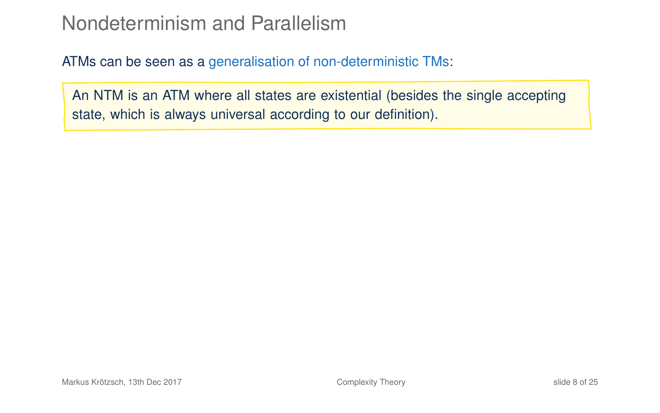### Nondeterminism and Parallelism

ATMs can be seen as a generalisation of non-deterministic TMs:

An NTM is an ATM where all states are existential (besides the single accepting state, which is always universal according to our definition).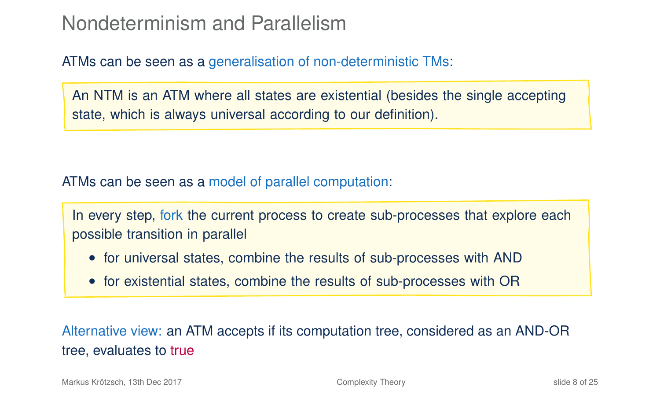### Nondeterminism and Parallelism

ATMs can be seen as a generalisation of non-deterministic TMs:

An NTM is an ATM where all states are existential (besides the single accepting state, which is always universal according to our definition).

ATMs can be seen as a model of parallel computation:

In every step, fork the current process to create sub-processes that explore each possible transition in parallel

- for universal states, combine the results of sub-processes with AND
- for existential states, combine the results of sub-processes with OR

Alternative view: an ATM accepts if its computation tree, considered as an AND-OR tree, evaluates to true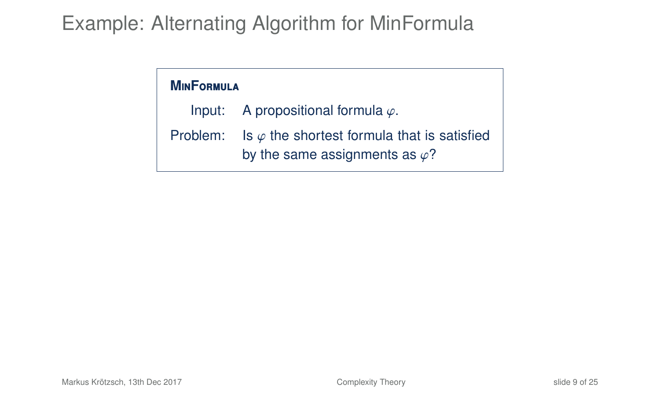## Example: Alternating Algorithm for MinFormula

#### **M**in**F**ormula

Input: A propositional formula  $\varphi$ .

Problem: Is  $\varphi$  the shortest formula that is satisfied by the same assignments as  $\varphi$ ?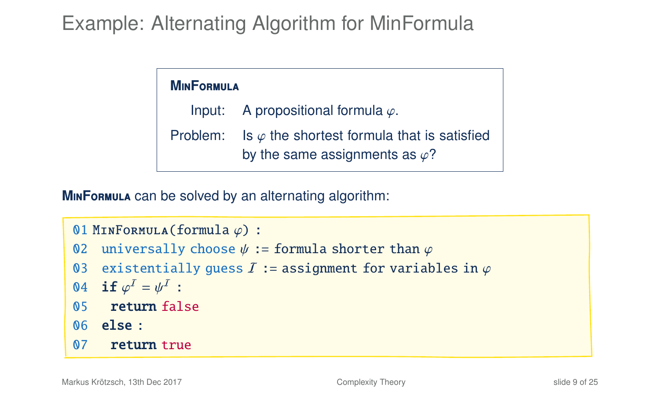## Example: Alternating Algorithm for MinFormula

| <b>MINFORMULA</b> |                                                                                                        |  |  |  |  |  |  |  |  |
|-------------------|--------------------------------------------------------------------------------------------------------|--|--|--|--|--|--|--|--|
|                   | Input: A propositional formula $\varphi$ .                                                             |  |  |  |  |  |  |  |  |
|                   | Problem: Is $\varphi$ the shortest formula that is satisfied<br>by the same assignments as $\varphi$ ? |  |  |  |  |  |  |  |  |

**MINFORMULA** can be solved by an alternating algorithm:

```
01 MINFORMULA(formula \varphi) :<br>02 universally choose \nu :
```
- 02 universally choose  $\psi :=$  formula shorter than  $\varphi$ <br>03 existentially quess *I* := assignment for variab
- 03 existentially guess  $\overline{I}$  := assignment for variables in  $\varphi$ <br>04 if  $\omega^I = u^I$  :

```
04 if \varphi^I = \psi^I :<br>05 potum fol
```
- 05 return false
- 06 else :
- 07 return true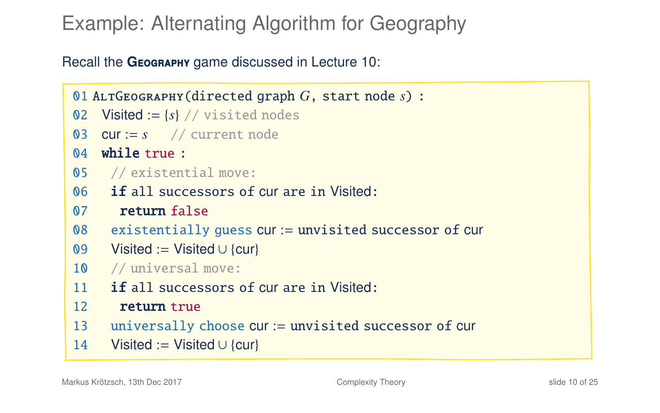## Example: Alternating Algorithm for Geography

Recall the GEOGRAPHY game discussed in Lecture 10:

```
01 AltGeography(directed graph G, start node s) :
02 Visited := \{s\} // visited nodes
03 cur := s // current node
04 while true :
05 // existential move:
06 if all successors of cur are in Visited:
07 return false
08 existentially guess cur := unvisited successor of cur
09 Visited := Visited ∪ {cur}
10 // universal move:
11 if all successors of cur are in Visited:
12 return true
13 universally choose cur := unvisited successor of cur
14 Visited := Visited ∪ {cur}
```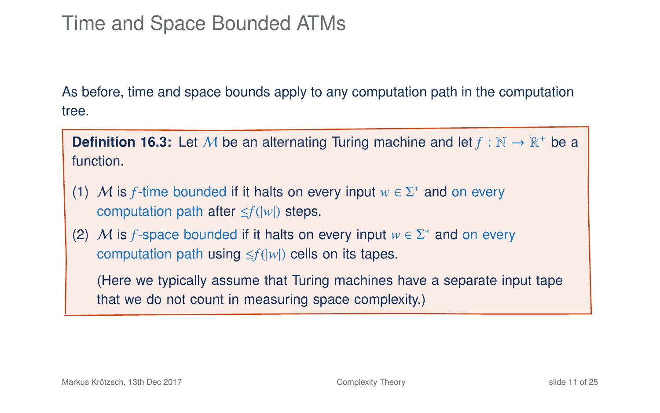## Time and Space Bounded ATMs

As before, time and space bounds apply to any computation path in the computation tree.

**Definition 16.3:** Let M be an alternating Turing machine and let  $f : \mathbb{N} \to \mathbb{R}^+$  be a function.

- (1) M is *f*-time bounded if it halts on every input  $w \in \Sigma^*$  and on every computation path after ≤*f*(|*w*|) steps.
- (2) M is *f*-space bounded if it halts on every input  $w \in \Sigma^*$  and on every computation path using ≤*f*(|*w*|) cells on its tapes.

(Here we typically assume that Turing machines have a separate input tape that we do not count in measuring space complexity.)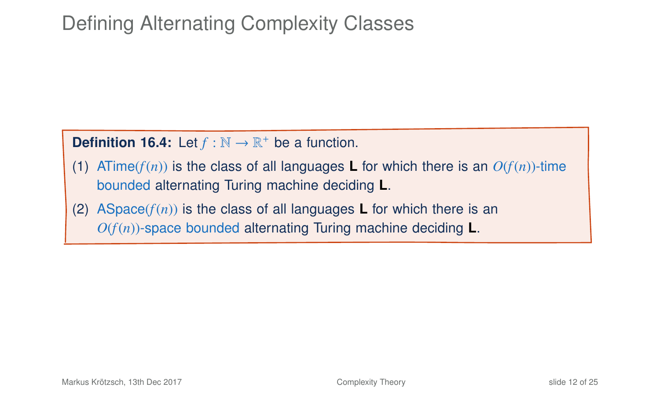## Defining Alternating Complexity Classes

### **Definition 16.4:** Let  $f : \mathbb{N} \to \mathbb{R}^+$  be a function.

- (1) ATime( $f(n)$ ) is the class of all languages **L** for which there is an  $O(f(n))$ -time bounded alternating Turing machine deciding **L**.
- (2) ASpace( $f(n)$ ) is the class of all languages **L** for which there is an  $O(f(n))$ -space bounded alternating Turing machine deciding **L**.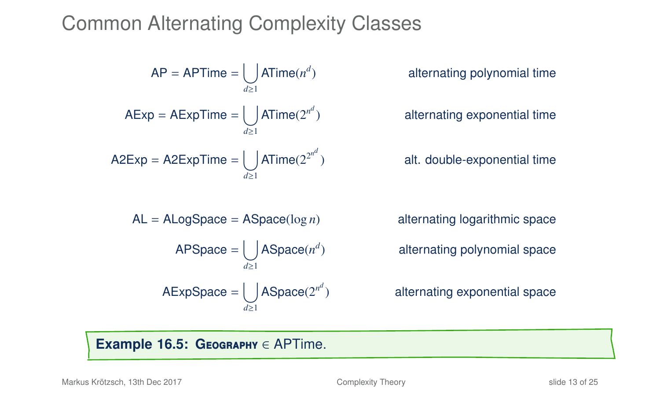## Common Alternating Complexity Classes

$$
AP = APTime = \bigcup_{d \ge 1} ATime(n^d)
$$
  
\n
$$
AExp = AExpTime = \bigcup_{d \ge 1} ATime(2^{n^d})
$$
  
\n
$$
A2Exp = A2ExpTime = \bigcup_{d \ge 1} ATime(2^{2^{n^d}})
$$
  
\n
$$
AL = ALogSpace = ASpace(log n)
$$
  
\n
$$
APSpace = \bigcup_{d \ge 1} ASpace(n^d)
$$
  
\n
$$
AExpSpace = \bigcup_{d \ge 1} ASpace(2^{n^d})
$$

) alternating polynomial time

) alternating exponential time

) alt. double-exponential time

alternating logarithmic space ) alternating polynomial space

) alternating exponential space

#### **Example 16.5: G**eography ∈ APTime.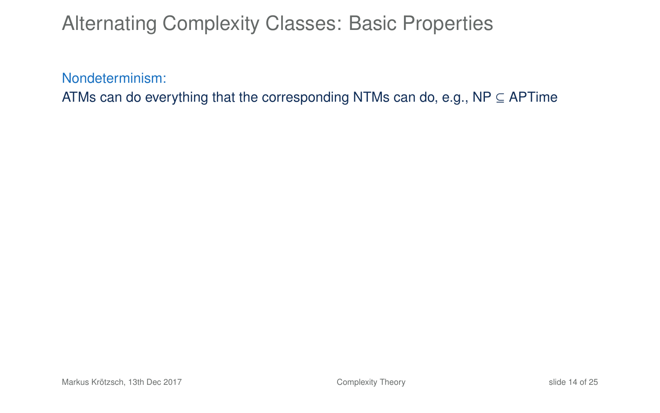Nondeterminism:

ATMs can do everything that the corresponding NTMs can do, e.g., NP  $\subseteq$  APTime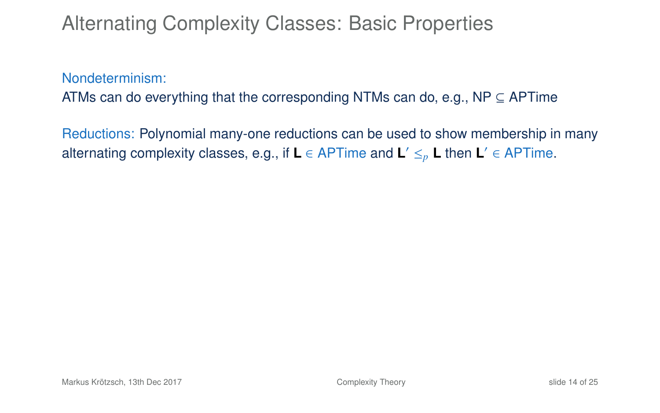Nondeterminism:

ATMs can do everything that the corresponding NTMs can do, e.g., NP  $\subseteq$  APTime

Reductions: Polynomial many-one reductions can be used to show membership in many alternating complexity classes, e.g., if **L** ∈ APTime and **L** <sup>0</sup> ≤*<sup>p</sup>* **L** then **L** 0 ∈ APTime.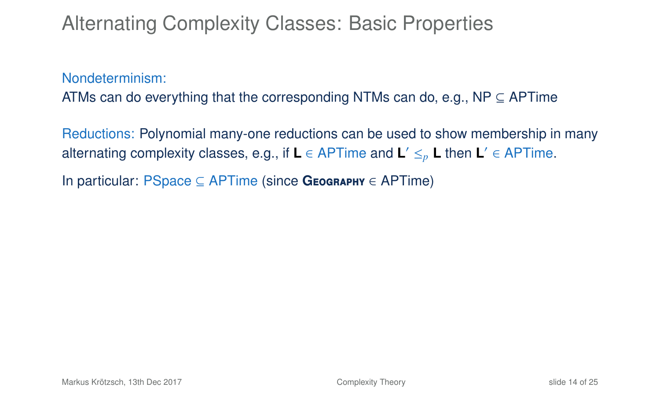Nondeterminism:

ATMs can do everything that the corresponding NTMs can do, e.g., NP  $\subseteq$  APTime

Reductions: Polynomial many-one reductions can be used to show membership in many alternating complexity classes, e.g., if **L** ∈ APTime and **L** <sup>0</sup> ≤*<sup>p</sup>* **L** then **L** 0 ∈ APTime.

In particular: PSpace ⊆ APTime (since **G**eography ∈ APTime)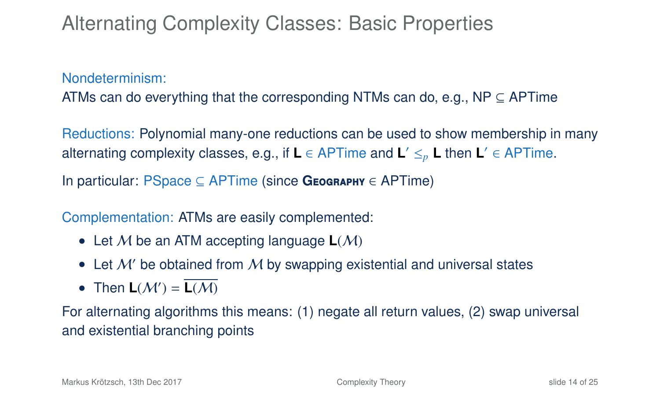Nondeterminism:

ATMs can do everything that the corresponding NTMs can do, e.g., NP  $\subseteq$  APTime

Reductions: Polynomial many-one reductions can be used to show membership in many alternating complexity classes, e.g., if **L** ∈ APTime and **L** <sup>0</sup> ≤*<sup>p</sup>* **L** then **L** 0 ∈ APTime.

In particular: PSpace ⊆ APTime (since **G**eography ∈ APTime)

Complementation: ATMs are easily complemented:

- Let M be an ATM accepting language  $L(M)$
- Let  $M'$  be obtained from  $M$  by swapping existential and universal states
- Then  $L(\mathcal{M}') = \overline{L(\mathcal{M})}$

For alternating algorithms this means: (1) negate all return values, (2) swap universal and existential branching points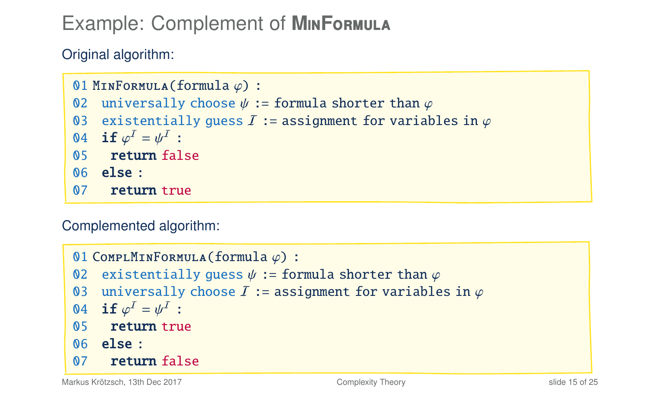## Example: Complement of **M**in**F**ormula

Original algorithm:

```
01 MINFORMULA(formula \varphi) :<br>02 universally choose \nu :
02 universally choose \psi := formula shorter than \varphi<br>03 existentially quess I := assignment for variab
03 existentially guess \overline{I} := assignment for variables in \varphi<br>04 if \omega^I = vI^I :
04 \;\; \mathbf{if}\; \varphi^I = \psi^I \; : \ 05 \quad \; \mathbf{return} \; \mathrm{false}I = \psi^I :<br>Furn fal
06 else :
07 return true
```
Complemented algorithm:

```
01 COMPLMINFORMULA(formula \varphi) :<br>02 existentially quess \psi := for
02 existentially guess \psi := formula shorter than \varphi<br>03 universally choose I := assignment for variable
03 universally choose \overline{I} := assignment for variables in \varphi<br>04 if \varphi^I = u^I :
04   if \varphi^I = \psi^I :<br>05     return true
                I = \psi^I :<br>iiirn tru
06 else :
07 return false
```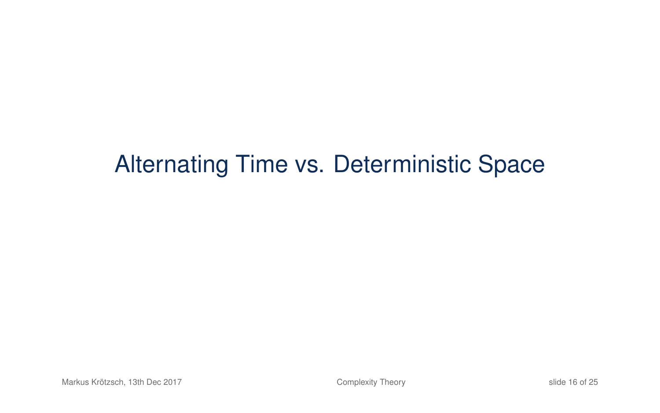# Alternating Time vs. Deterministic Space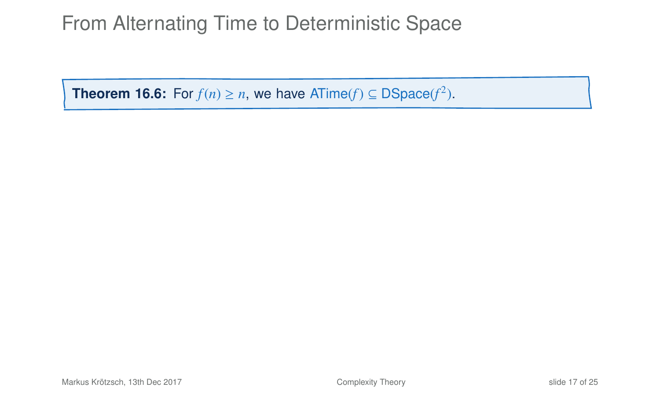## From Alternating Time to Deterministic Space

**Theorem 16.6:** For  $f(n) \ge n$ , we have ATime( $f$ ) ⊆ DSpace( $f^2$ ).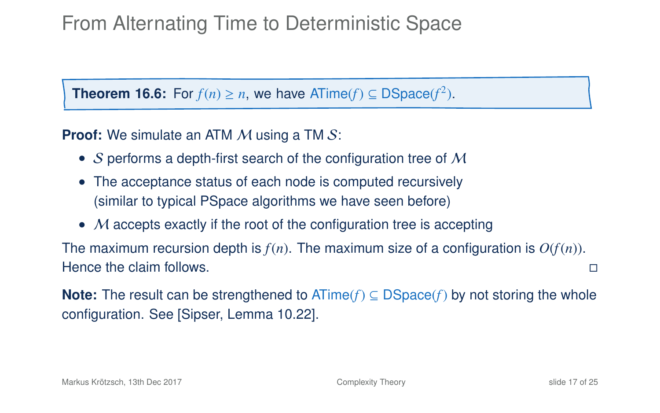## From Alternating Time to Deterministic Space

**Theorem 16.6:** For  $f(n) \ge n$ , we have ATime( $f$ ) ⊆ DSpace( $f^2$ ).

**Proof:** We simulate an ATM M using a TM S:

- S performs a depth-first search of the configuration tree of  $M$
- The acceptance status of each node is computed recursively (similar to typical PSpace algorithms we have seen before)
- $M$  accepts exactly if the root of the configuration tree is accepting

The maximum recursion depth is  $f(n)$ . The maximum size of a configuration is  $O(f(n))$ . Hence the claim follows. The contract of the claim of the claim of the claim of the claim of the claim of the claim of the claim of the claim of the claim of the claim of the claim of the claim of the claim of the claim of

**Note:** The result can be strengthened to ATime(*f*) ⊆ DSpace(*f*) by not storing the whole configuration. See [Sipser, Lemma 10.22].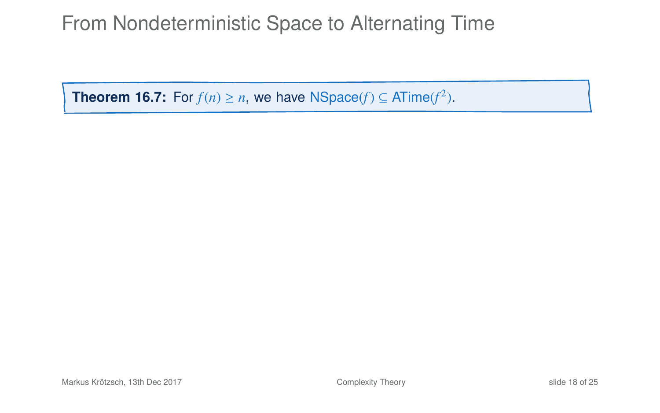## From Nondeterministic Space to Alternating Time

**Theorem 16.7:** For  $f(n) \ge n$ , we have NSpace( $f$ )  $\subseteq$  ATime( $f^2$ ).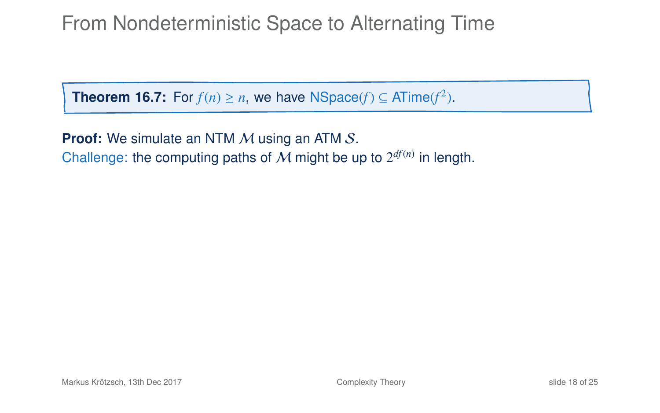## From Nondeterministic Space to Alternating Time

**Theorem 16.7:** For  $f(n) \ge n$ , we have NSpace( $f$ )  $\subseteq$  ATime( $f^2$ ).

**Proof:** We simulate an NTM M using an ATM S. Challenge: the computing paths of  $M$  might be up to  $2^{df(n)}$  in length.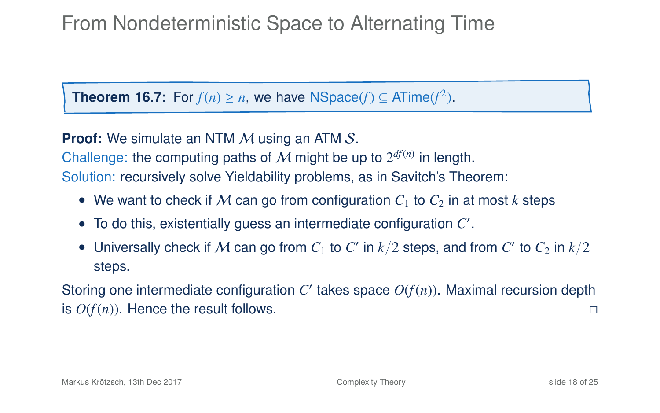## From Nondeterministic Space to Alternating Time

**Theorem 16.7:** For  $f(n) \ge n$ , we have NSpace( $f$ )  $\subseteq$  ATime( $f^2$ ).

**Proof:** We simulate an NTM M using an ATM S.

Challenge: the computing paths of  $M$  might be up to  $2^{df(n)}$  in length. Solution: recursively solve Yieldability problems, as in Savitch's Theorem:

- We want to check if M can go from configuration  $C_1$  to  $C_2$  in at most k steps
- To do this, existentially guess an intermediate configuration *C* 0 .
- Universally check if  $M$  can go from  $C_1$  to  $C'$  in  $k/2$  steps, and from  $C'$  to  $C_2$  in  $k/2$ steps.

Storing one intermediate configuration  $C'$  takes space  $O(f(n))$ . Maximal recursion depth is  $O(f(n))$ . Hence the result follows.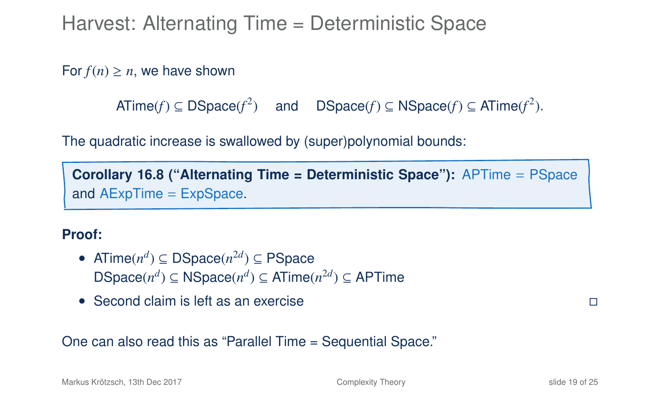Harvest: Alternating Time = Deterministic Space

For  $f(n) \geq n$ , we have shown

 $\textsf{ATime}(f) \subseteq \textsf{DSpace}(f^2) \quad \text{ and } \quad \textsf{DSpace}(f) \subseteq \textsf{NSpace}(f) \subseteq \textsf{ATime}(f^2).$ 

The quadratic increase is swallowed by (super)polynomial bounds:

**Corollary 16.8 ("Alternating Time = Deterministic Space"):** APTime = PSpace and AExpTime = ExpSpace.

#### **Proof:**

- ATime $(n^d) \subseteq DSpace(n^{2d}) \subseteq PSpace$  $DSpace(n^d) ⊆ NSpace(n^d) ⊆ ATime(n^{2d}) ⊆ APTime$
- Second claim is left as an exercise

One can also read this as "Parallel Time = Sequential Space."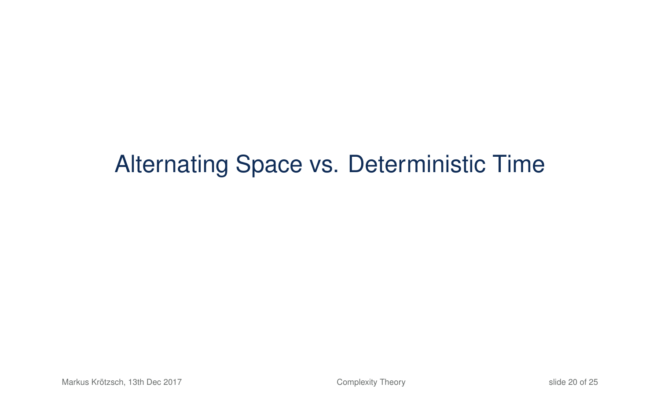# Alternating Space vs. Deterministic Time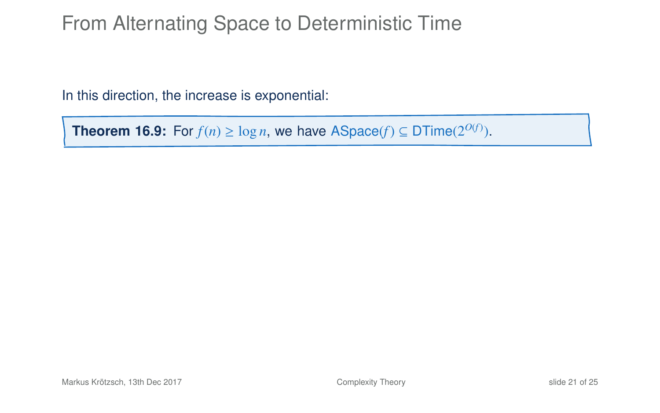## From Alternating Space to Deterministic Time

In this direction, the increase is exponential:

**Theorem 16.9:** For  $f(n) \ge \log n$ , we have ASpace( $f$ ) ⊆ DTime( $2^{O(f)}$ ).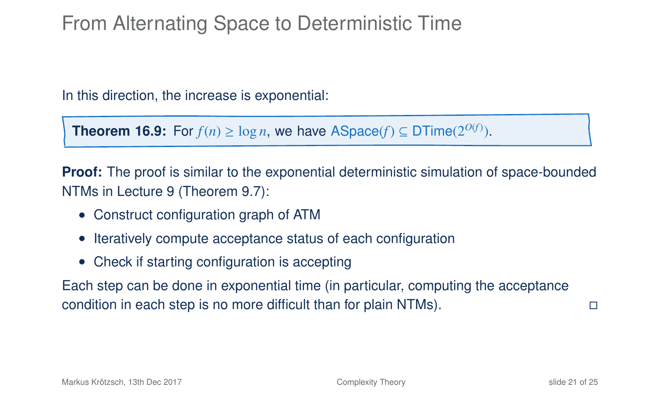## From Alternating Space to Deterministic Time

In this direction, the increase is exponential:

**Theorem 16.9:** For  $f(n) \ge \log n$ , we have ASpace( $f$ ) ⊆ DTime( $2^{O(f)}$ ).

**Proof:** The proof is similar to the exponential deterministic simulation of space-bounded NTMs in Lecture 9 (Theorem 9.7):

- Construct configuration graph of ATM
- Iteratively compute acceptance status of each configuration
- Check if starting configuration is accepting

Each step can be done in exponential time (in particular, computing the acceptance condition in each step is no more difficult than for plain NTMs).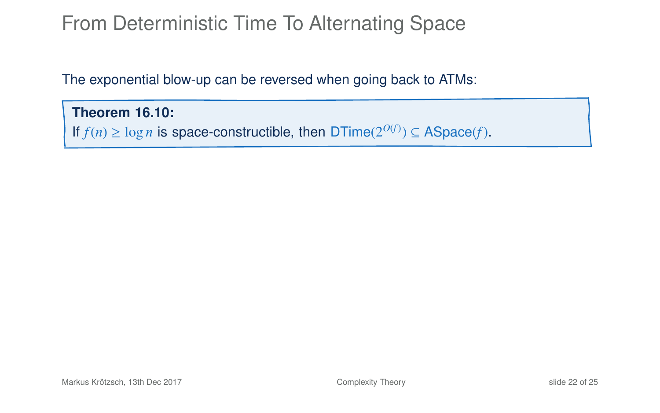The exponential blow-up can be reversed when going back to ATMs:

#### **Theorem 16.10:**

If *f*(*n*) ≥ log *n* is space-constructible, then DTime( $2^{O(f)}$ ) ⊆ ASpace(*f*).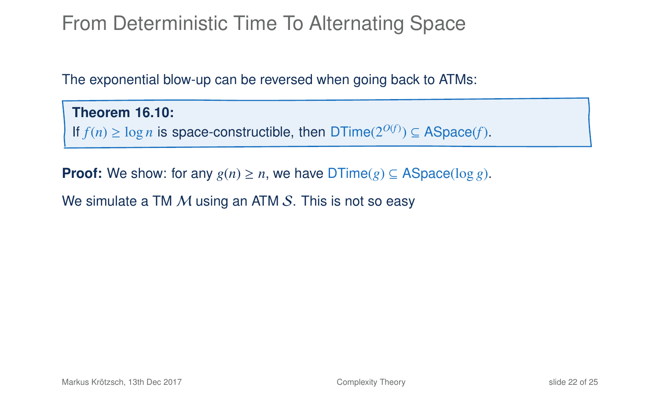The exponential blow-up can be reversed when going back to ATMs:

**Theorem 16.10:** If *f*(*n*) ≥ log *n* is space-constructible, then DTime( $2^{O(f)}$ ) ⊆ ASpace(*f*).

**Proof:** We show: for any  $g(n) \geq n$ , we have  $DTime(g) \subseteq ASpace(\log g)$ .

We simulate a TM  $M$  using an ATM  $S$ . This is not so easy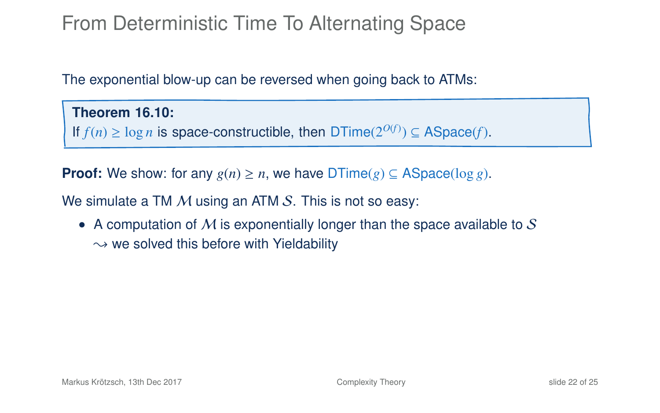The exponential blow-up can be reversed when going back to ATMs:

**Theorem 16.10:** If *f*(*n*) ≥ log *n* is space-constructible, then DTime( $2^{O(f)}$ ) ⊆ ASpace(*f*).

**Proof:** We show: for any  $g(n) \geq n$ , we have  $DTime(g) \subseteq ASpace(\log g)$ .

We simulate a TM  $M$  using an ATM  $S$ . This is not so easy:

• A computation of  $M$  is exponentially longer than the space available to  $S$  $\rightarrow$  we solved this before with Yieldability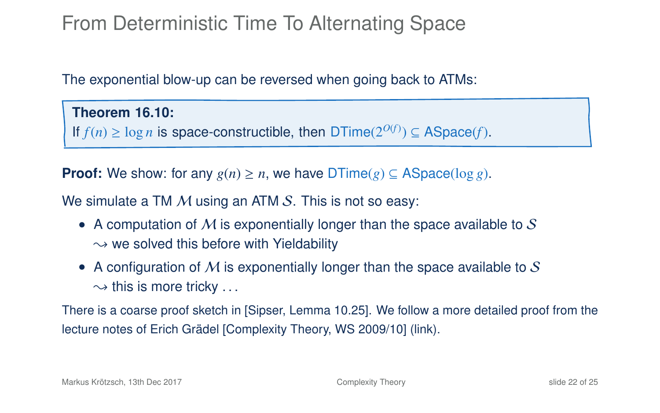The exponential blow-up can be reversed when going back to ATMs:

#### **Theorem 16.10:**

If *f*(*n*) ≥ log *n* is space-constructible, then DTime( $2^{O(f)}$ ) ⊆ ASpace(*f*).

**Proof:** We show: for any  $g(n) \geq n$ , we have  $DTime(g) \subseteq ASpace(\log g)$ .

We simulate a TM  $M$  using an ATM  $S$ . This is not so easy:

- A computation of  $M$  is exponentially longer than the space available to  $S$  $\rightarrow$  we solved this before with Yieldability
- A configuration of M is exponentially longer than the space available to S  $\rightarrow$  this is more tricky ...

There is a coarse proof sketch in [Sipser, Lemma 10.25]. We follow a more detailed proof from the lecture notes of Erich Grädel [\[Complexity Theory, WS 2009/10\] \(link\).](http://logic.rwth-aachen.de/files/KTQC/KTQC-script.pdf)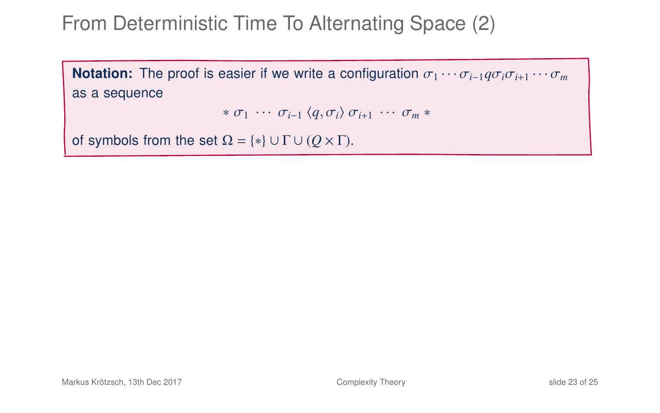**Notation:** The proof is easier if we write a configuration  $\sigma_1 \cdots \sigma_{i-1} q \sigma_i \sigma_{i+1} \cdots \sigma_m$ as a sequence

```
* \sigma_1 \cdots \sigma_{i-1} \langle q, \sigma_i \rangle \sigma_{i+1} \cdots \sigma_m *
```
of symbols from the set  $\Omega = \{*\} \cup \Gamma \cup (Q \times \Gamma)$ .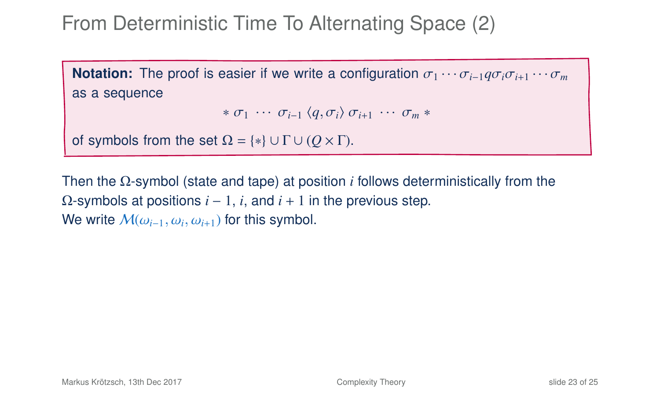**Notation:** The proof is easier if we write a configuration  $\sigma_1 \cdots \sigma_{i-1} q \sigma_i \sigma_{i+1} \cdots \sigma_m$ as a sequence

```
* \sigma_1 \cdots \sigma_{i-1} \langle q, \sigma_i \rangle \sigma_{i+1} \cdots \sigma_m *
```
of symbols from the set  $\Omega = \{*\} \cup \Gamma \cup (Q \times \Gamma)$ .

Then the Ω-symbol (state and tape) at position *i* follows deterministically from the  $Ω$ -symbols at positions  $i - 1$ ,  $i$ , and  $i + 1$  in the previous step. We write  $\mathcal{M}(\omega_{i-1}, \omega_i, \omega_{i+1})$  for this symbol.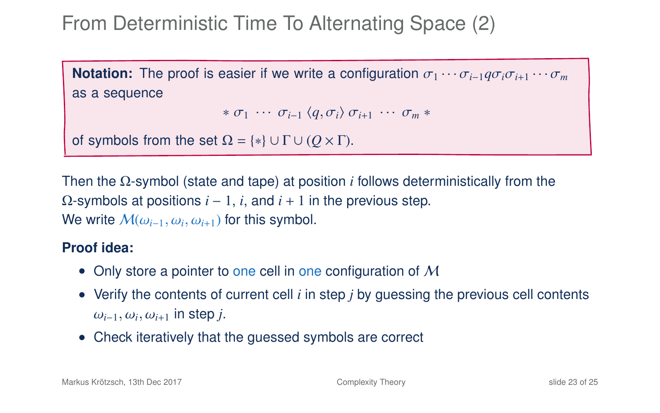**Notation:** The proof is easier if we write a configuration  $\sigma_1 \cdots \sigma_{i-1} q \sigma_i \sigma_{i+1} \cdots \sigma_m$ as a sequence

```
* \sigma_1 \cdots \sigma_{i-1} \langle q, \sigma_i \rangle \sigma_{i+1} \cdots \sigma_m *
```
of symbols from the set  $\Omega = \{*\} \cup \Gamma \cup (Q \times \Gamma)$ .

Then the Ω-symbol (state and tape) at position *i* follows deterministically from the  $Ω$ -symbols at positions  $i - 1$ ,  $i$ , and  $i + 1$  in the previous step. We write  $\mathcal{M}(\omega_{i-1}, \omega_i, \omega_{i+1})$  for this symbol.

#### **Proof idea:**

- Only store a pointer to one cell in one configuration of  $M$
- Verify the contents of current cell *i* in step *j* by guessing the previous cell contents <sup>ω</sup>*<sup>i</sup>*−1,ω*<sup>i</sup>* ,ω*<sup>i</sup>*+<sup>1</sup> in step *<sup>j</sup>*.
- Check iteratively that the guessed symbols are correct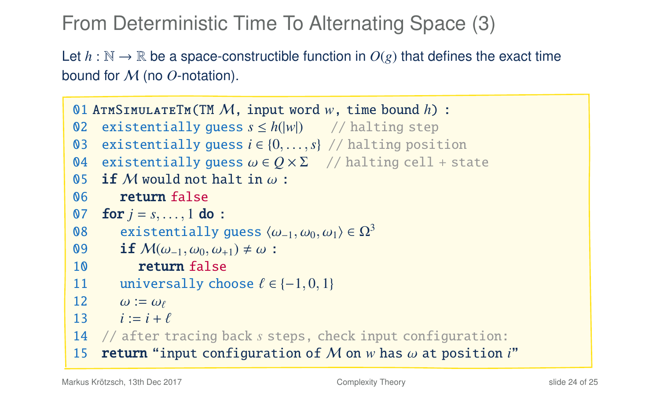Let  $h : \mathbb{N} \to \mathbb{R}$  be a space-constructible function in  $O(g)$  that defines the exact time bound for M (no *O*-notation).

```
01 AtmSimulateTm(TM M, input word w, time bound h) :
02 existentially guess s \leq h(|w|) // halting step
03 existentially guess i \in \{0, ..., s\} // halting position<br>04 existentially quess \omega \in O \times \Sigma // halting cell + sta
04 existentially guess \omega \in Q \times \Sigma // halting cell + state 05 if M would not halt in \omega:
05 if M would not halt in \omega:<br>06 return false
           return false
07 for j = s, ..., 1 do :<br>08 existentially
08 existentially guess \langle \omega_{-1}, \omega_0, \omega_1 \rangle \in \Omega^3<br>09 if M(\omega_{-1}, \omega_0, \omega_{+1}) \neq \omega:
09 if M(\omega_{-1}, \omega_0, \omega_{+1}) \neq \omega:<br>10 return false
               return false
11 universally choose \ell \in \{-1, 0, 1\}<br>12 \omega := \omega_{\ell}12 \omega := \omega_{\ell}<br>13 i := i + j13 i := i + \ell<br>14 \ell after t
14 // after tracing back s steps, check input configuration:
15 return "input configuration of M on w has ω at position i"
```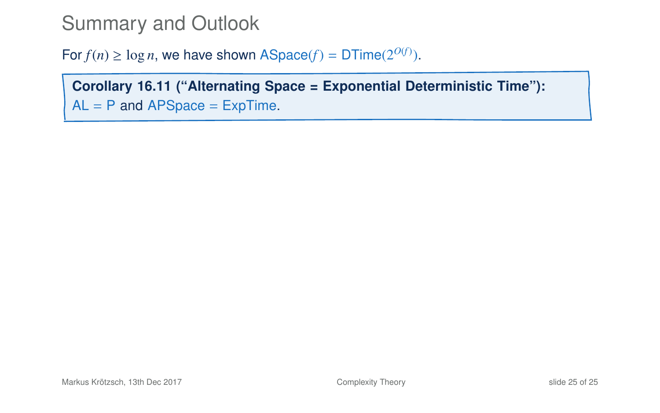## Summary and Outlook

For  $f(n) \geq \log n$ , we have shown ASpace( $f$ ) = DTime( $2^{O(f)}$ ).

**Corollary 16.11 ("Alternating Space = Exponential Deterministic Time"):**  $AL = P$  and APSpace = ExpTime.